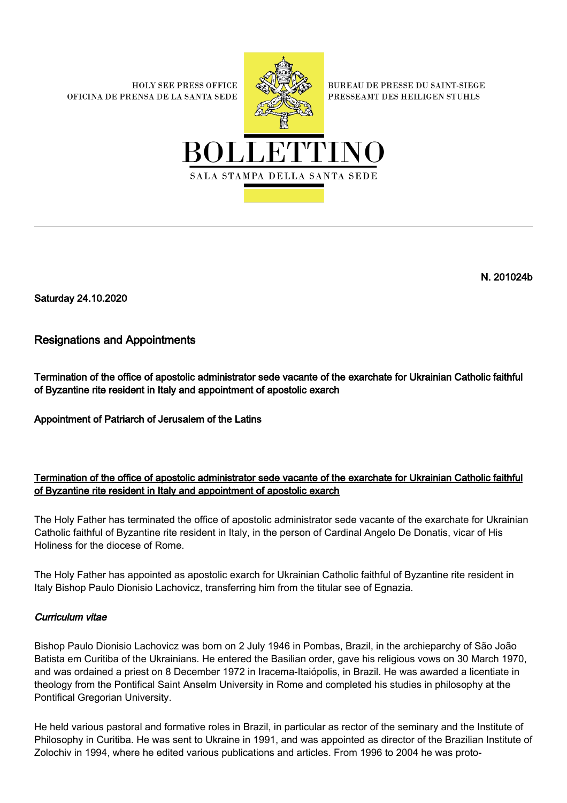**HOLY SEE PRESS OFFICE** OFICINA DE PRENSA DE LA SANTA SEDE



**BUREAU DE PRESSE DU SAINT-SIEGE** PRESSEAMT DES HEILIGEN STUHLS



N. 201024b

Saturday 24.10.2020

# Resignations and Appointments

Termination of the office of apostolic administrator sede vacante of the exarchate for Ukrainian Catholic faithful of Byzantine rite resident in Italy and appointment of apostolic exarch

Appointment of Patriarch of Jerusalem of the Latins

## Termination of the office of apostolic administrator sede vacante of the exarchate for Ukrainian Catholic faithful of Byzantine rite resident in Italy and appointment of apostolic exarch

The Holy Father has terminated the office of apostolic administrator sede vacante of the exarchate for Ukrainian Catholic faithful of Byzantine rite resident in Italy, in the person of Cardinal Angelo De Donatis, vicar of His Holiness for the diocese of Rome.

The Holy Father has appointed as apostolic exarch for Ukrainian Catholic faithful of Byzantine rite resident in Italy Bishop Paulo Dionisio Lachovicz, transferring him from the titular see of Egnazia.

### Curriculum vitae

Bishop Paulo Dionisio Lachovicz was born on 2 July 1946 in Pombas, Brazil, in the archieparchy of São João Batista em Curitiba of the Ukrainians. He entered the Basilian order, gave his religious vows on 30 March 1970, and was ordained a priest on 8 December 1972 in Iracema-Itaiópolis, in Brazil. He was awarded a licentiate in theology from the Pontifical Saint Anselm University in Rome and completed his studies in philosophy at the Pontifical Gregorian University.

He held various pastoral and formative roles in Brazil, in particular as rector of the seminary and the Institute of Philosophy in Curitiba. He was sent to Ukraine in 1991, and was appointed as director of the Brazilian Institute of Zolochiv in 1994, where he edited various publications and articles. From 1996 to 2004 he was proto